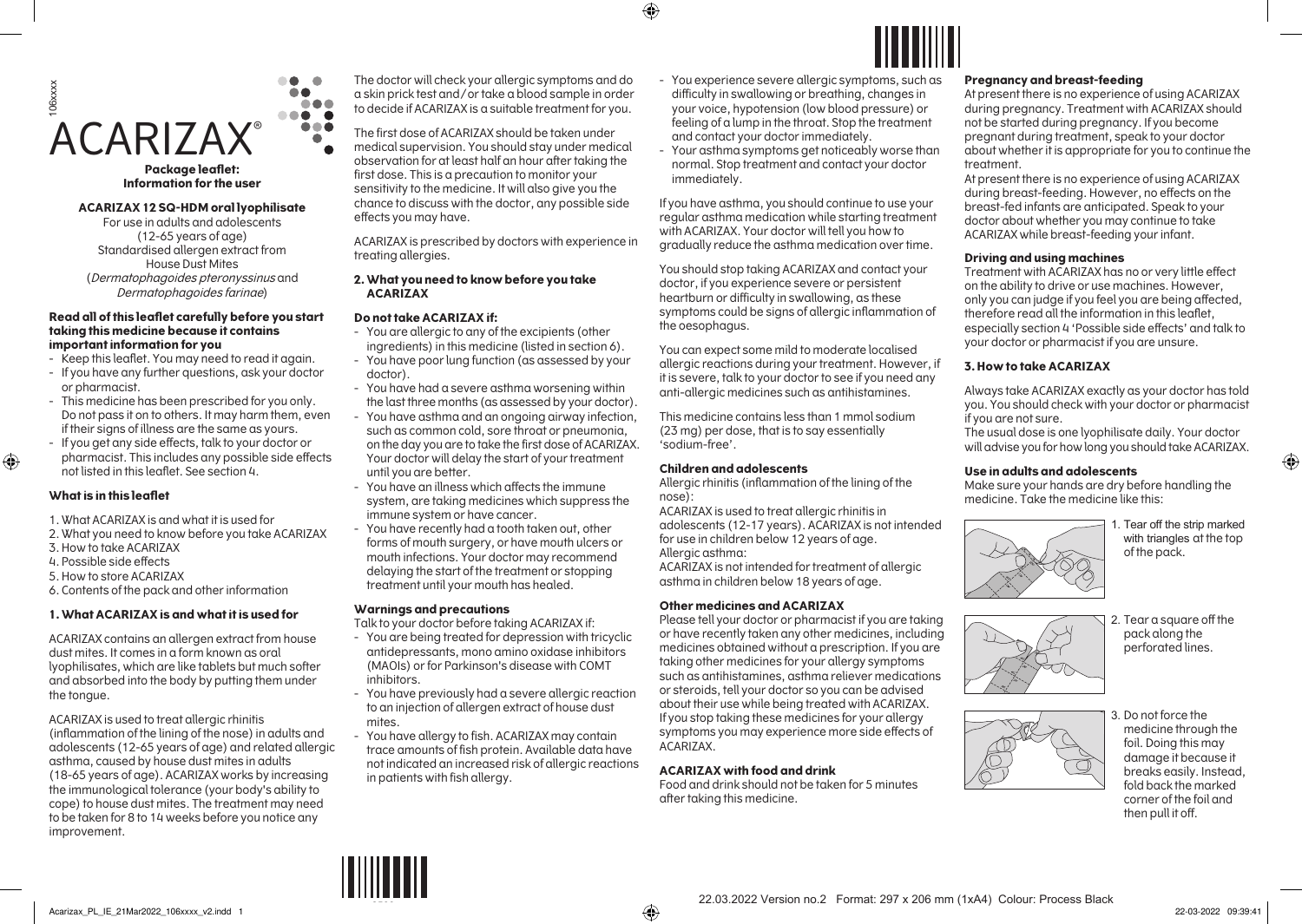

**Package leaflet: Information for the user**

#### **ACARIZAX 12 SQ-HDM oral lyophilisate**

For use in adults and adolescents (12-65 years of age) Standardised allergen extract from House Dust Mites (Dermatophagoides pteronyssinus and Dermatophagoides farinae)

#### **Read all of this leaflet carefully before you start taking this medicine because it contains important information for you**

- Keep this leaflet. You may need to read it again.

- If you have any further questions, ask your doctor or pharmacist.
- This medicine has been prescribed for you only. Do not pass it on to others. It may harm them, even if their signs of illness are the same as yours.
- If you get any side effects, talk to your doctor or pharmacist. This includes any possible side effects not listed in this leaflet. See section 4.

## **What is in this leaflet**

 $\bigoplus$ 

- 1.What ACARIZAX is and what it is used for
- 2.What you need to know before you take ACARIZAX
- 3.How to take ACARIZAX
- 4.Possible side effects
- 5.How to store ACARIZAX
- 6.Contents of the pack and other information

#### **1.What ACARIZAX is and what it is used for**

ACARIZAX contains an allergen extract from house dust mites. It comes in a form known as oral lyophilisates, which are like tablets but much softer and absorbed into the body by putting them under the tongue.

ACARIZAX is used to treat allergic rhinitis (inflammation of the lining of the nose) in adults and adolescents (12-65 years of age) and related allergic asthma, caused by house dust mites in adults (18-65 years of age). ACARIZAX works by increasing the immunological tolerance (your body's ability to cope) to house dust mites. The treatment may need to be taken for 8 to 14 weeks before you notice any improvement.

The doctor will check your allergic symptoms and do a skin prick test and/or take a blood sample in order to decide if ACARIZAX is a suitable treatment for you.

The first dose of ACARIZAX should be taken under medical supervision. You should stay under medical observation for at least half an hour after taking the first dose. This is a precaution to monitor your sensitivity to the medicine. It will also give you the chance to discuss with the doctor, any possible side effects you may have.

ACARIZAX is prescribed by doctors with experience in treating allergies.

## **2.What you need to know before you take ACARIZAX**

## **Do not take ACARIZAX if:**

- You are allergic to any of the excipients (other ingredients) in this medicine (listed in section 6).
- You have poor lung function (as assessed by your doctor).
- You have had a severe asthma worsening within the last three months (as assessed by your doctor).
- You have asthma and an ongoing airway infection, such as common cold, sore throat or pneumonia, on the day you are to take the first dose of ACARIZAX. Your doctor will delay the start of your treatment until you are better.
- You have an illness which affects the immune system, are taking medicines which suppress the immune system or have cancer.
- You have recently had a tooth taken out, other forms of mouth surgery, or have mouth ulcers or mouth infections. Your doctor may recommend delaying the start of the treatment or stopping treatment until your mouth has healed.

#### **Warnings and precautions**

Talk to your doctor before taking ACARIZAX if:

- You are being treated for depression with tricyclic antidepressants, mono amino oxidase inhibitors (MAOIs) or for Parkinson's disease with COMT inhibitors.
- You have previously had a severe allergic reaction to an injection of allergen extract of house dust mites.
- You have allergy to fish. ACARIZAX may contain trace amounts of fish protein. Available data have not indicated an increased risk of allergic reactions in patients with fish allergy.

- You experience severe allergic symptoms, such as difficulty in swallowing or breathing, changes in your voice, hypotension (low blood pressure) or feeling of a lump in the throat. Stop the treatment

Your asthma symptoms get noticeably worse than normal. Stop treatment and contact your doctor

If you have asthma, you should continue to use your regular asthma medication while starting treatment with ACARIZAX. Your doctor will tell you how to gradually reduce the asthma medication over time. You should stop taking ACARIZAX and contact your doctor, if you experience severe or persistent heartburn or difficulty in swallowing, as these symptoms could be signs of allergic inflammation of

You can expect some mild to moderate localised allergic reactions during your treatment. However, if it is severe, talk to your doctor to see if you need any anti-allergic medicines such as antihistamines. This medicine contains less than 1 mmol sodium (23 mg) per dose, that is to say essentially

Allergic rhinitis (inflammation of the lining of the

adolescents (12-17 years). ACARIZAX is not intended

ACARIZAX is not intended for treatment of allergic asthma in children below 18 years of age.

Please tell your doctor or pharmacist if you are taking or have recently taken any other medicines, including medicines obtained without a prescription. If you are taking other medicines for your allergy symptoms such as antihistamines, asthma reliever medications or steroids, tell your doctor so you can be advised about their use while being treated with ACARIZAX. If you stop taking these medicines for your allergy symptoms you may experience more side effects of

ACARIZAX is used to treat allergic rhinitis in

for use in children below 12 years of age.

**Other medicines and ACARIZAX** 

**ACARIZAX with food and drink**

after taking this medicine.

Food and drink should not be taken for 5 minutes

and contact your doctor immediately.

immediately.

⊕

the oesophagus.

'sodium-free'.

Allergic asthma:

ACARIZAX.

nose):

**Children and adolescents**

#### **Pregnancy and breast-feeding**

At present there is no experience of using ACARIZAX during pregnancy. Treatment with ACARIZAX should not be started during pregnancy. If you become pregnant during treatment, speak to your doctor about whether it is appropriate for you to continue the treatment.

At present there is no experience of using ACARIZAX during breast-feeding. However, no effects on the breast-fed infants are anticipated. Speak to your doctor about whether you may continue to take ACARIZAX while breast-feeding your infant.

## **Driving and using machines**

Treatment with ACARIZAX has no or very little effect on the ability to drive or use machines. However, only you can judge if you feel you are being affected, therefore read all the information in this leaflet, especially section 4 'Possible side effects' and talk to your doctor or pharmacist if you are unsure.

### **3.How to take ACARIZAX**

Always take ACARIZAX exactly as your doctor has told you. You should check with your doctor or pharmacist if you are not sure.

The usual dose is one lyophilisate daily. Your doctor will advise you for how long you should take ACARIZAX.

#### **Use in adults and adolescents**

Make sure your hands are dry before handling the medicine. Take the medicine like this:



with triangles at the top of the pack.

 $\bigoplus$ 



2. Tear a square off the pack along the perforated lines.



<sup>3.</sup> Do not force the medicine through the foil. Doing this may damage it because it breaks easily. Instead, fold back the marked corner of the foil and then pull it off.